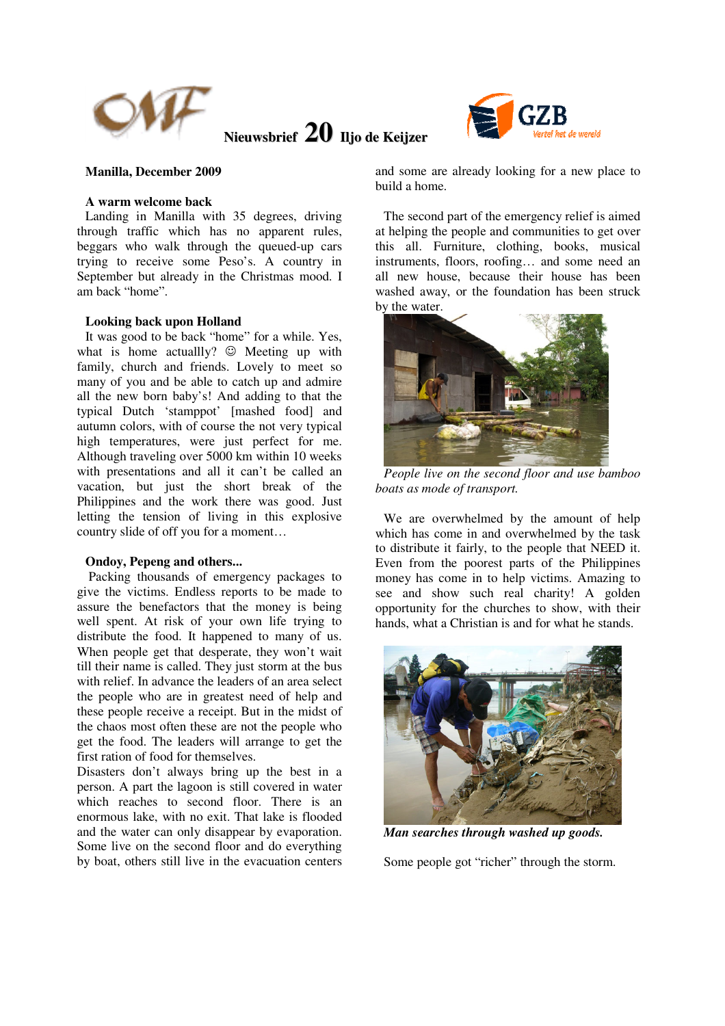

**Nieuwsbrief 20 Iljo de Keijzer**



### **Manilla, December 2009**

### **A warm welcome back**

Landing in Manilla with 35 degrees, driving through traffic which has no apparent rules, beggars who walk through the queued-up cars trying to receive some Peso's. A country in September but already in the Christmas mood. I am back "home".

### **Looking back upon Holland**

It was good to be back "home" for a while. Yes, what is home actually?  $\odot$  Meeting up with family, church and friends. Lovely to meet so many of you and be able to catch up and admire all the new born baby's! And adding to that the typical Dutch 'stamppot' [mashed food] and autumn colors, with of course the not very typical high temperatures, were just perfect for me. Although traveling over 5000 km within 10 weeks with presentations and all it can't be called an vacation, but just the short break of the Philippines and the work there was good. Just letting the tension of living in this explosive country slide of off you for a moment…

#### **Ondoy, Pepeng and others...**

 Packing thousands of emergency packages to give the victims. Endless reports to be made to assure the benefactors that the money is being well spent. At risk of your own life trying to distribute the food. It happened to many of us. When people get that desperate, they won't wait till their name is called. They just storm at the bus with relief. In advance the leaders of an area select the people who are in greatest need of help and these people receive a receipt. But in the midst of the chaos most often these are not the people who get the food. The leaders will arrange to get the first ration of food for themselves.

Disasters don't always bring up the best in a person. A part the lagoon is still covered in water which reaches to second floor. There is an enormous lake, with no exit. That lake is flooded and the water can only disappear by evaporation. Some live on the second floor and do everything by boat, others still live in the evacuation centers

and some are already looking for a new place to build a home.

The second part of the emergency relief is aimed at helping the people and communities to get over this all. Furniture, clothing, books, musical instruments, floors, roofing… and some need an all new house, because their house has been washed away, or the foundation has been struck by the water.



*People live on the second floor and use bamboo boats as mode of transport.* 

We are overwhelmed by the amount of help which has come in and overwhelmed by the task to distribute it fairly, to the people that NEED it. Even from the poorest parts of the Philippines money has come in to help victims. Amazing to see and show such real charity! A golden opportunity for the churches to show, with their hands, what a Christian is and for what he stands.



*Man searches through washed up goods.* 

Some people got "richer" through the storm.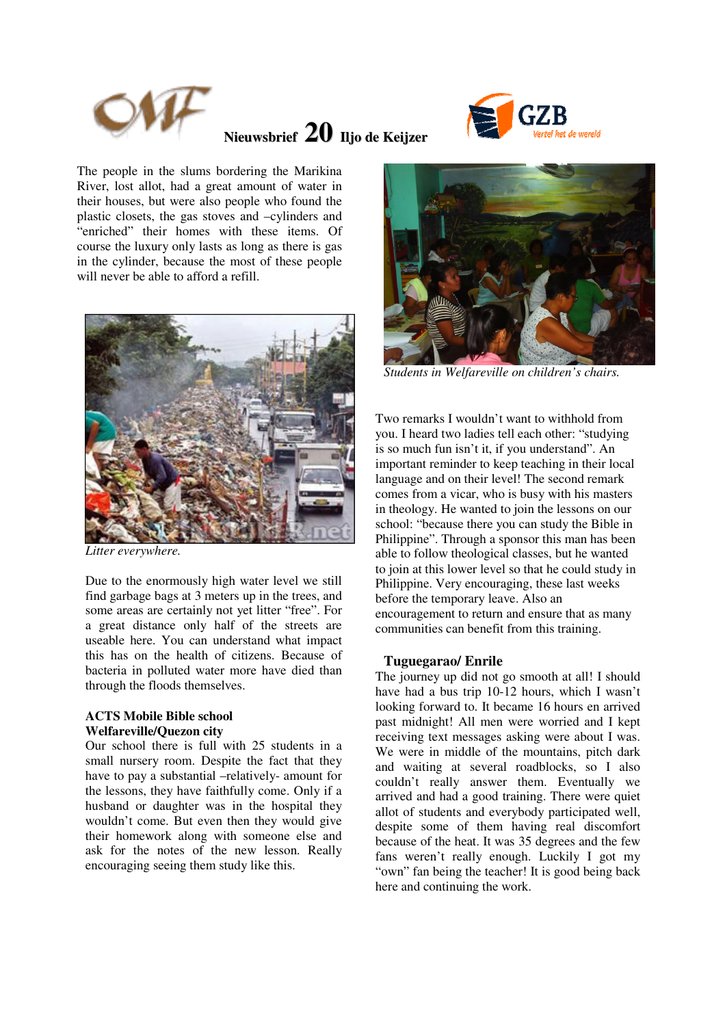

# **Nieuwsbrief 20 Iljo de Keijzer**



The people in the slums bordering the Marikina River, lost allot, had a great amount of water in their houses, but were also people who found the plastic closets, the gas stoves and –cylinders and "enriched" their homes with these items. Of course the luxury only lasts as long as there is gas in the cylinder, because the most of these people will never be able to afford a refill.



*Litter everywhere.* 

Due to the enormously high water level we still find garbage bags at 3 meters up in the trees, and some areas are certainly not yet litter "free". For a great distance only half of the streets are useable here. You can understand what impact this has on the health of citizens. Because of bacteria in polluted water more have died than through the floods themselves.

### **ACTS Mobile Bible school Welfareville/Quezon city**

Our school there is full with 25 students in a small nursery room. Despite the fact that they have to pay a substantial –relatively- amount for the lessons, they have faithfully come. Only if a husband or daughter was in the hospital they wouldn't come. But even then they would give their homework along with someone else and ask for the notes of the new lesson. Really encouraging seeing them study like this.



*Students in Welfareville on children's chairs.* 

Two remarks I wouldn't want to withhold from you. I heard two ladies tell each other: "studying is so much fun isn't it, if you understand". An important reminder to keep teaching in their local language and on their level! The second remark comes from a vicar, who is busy with his masters in theology. He wanted to join the lessons on our school: "because there you can study the Bible in Philippine". Through a sponsor this man has been able to follow theological classes, but he wanted to join at this lower level so that he could study in Philippine. Very encouraging, these last weeks before the temporary leave. Also an encouragement to return and ensure that as many communities can benefit from this training.

### **Tuguegarao/ Enrile**

The journey up did not go smooth at all! I should have had a bus trip 10-12 hours, which I wasn't looking forward to. It became 16 hours en arrived past midnight! All men were worried and I kept receiving text messages asking were about I was. We were in middle of the mountains, pitch dark and waiting at several roadblocks, so I also couldn't really answer them. Eventually we arrived and had a good training. There were quiet allot of students and everybody participated well, despite some of them having real discomfort because of the heat. It was 35 degrees and the few fans weren't really enough. Luckily I got my "own" fan being the teacher! It is good being back here and continuing the work.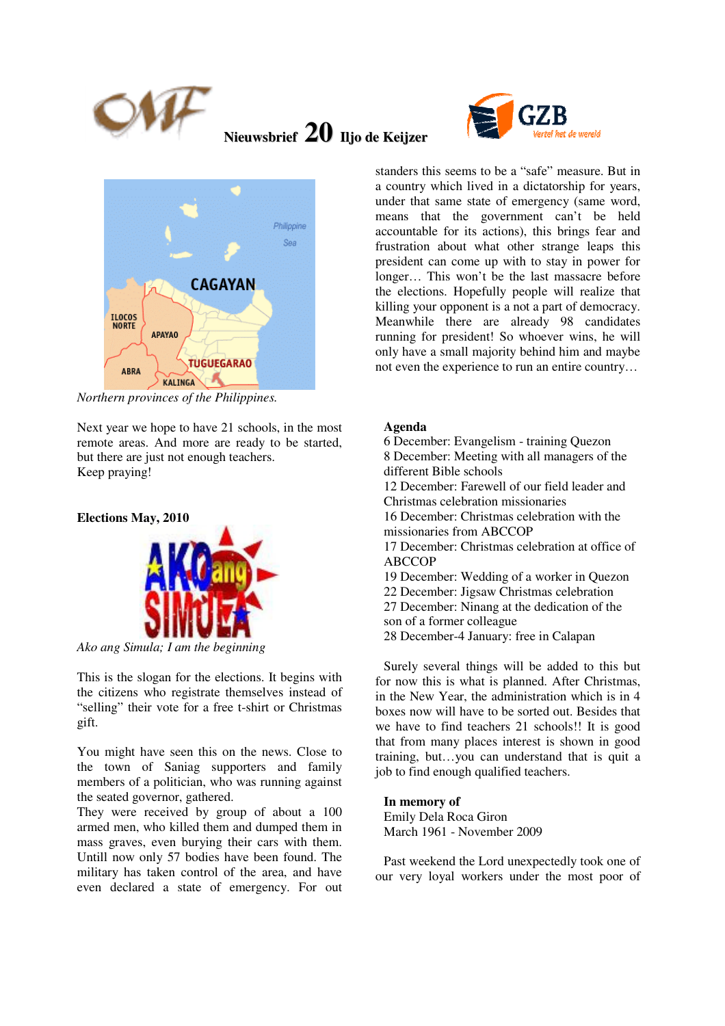

## **Nieuwsbrief 20 Iljo de Keijzer**





*Northern provinces of the Philippines.* 

Next year we hope to have 21 schools, in the most remote areas. And more are ready to be started, but there are just not enough teachers. Keep praying!

### **Elections May, 2010**



*Ako ang Simula; I am the beginning* 

This is the slogan for the elections. It begins with the citizens who registrate themselves instead of "selling" their vote for a free t-shirt or Christmas gift.

You might have seen this on the news. Close to the town of Saniag supporters and family members of a politician, who was running against the seated governor, gathered.

They were received by group of about a 100 armed men, who killed them and dumped them in mass graves, even burying their cars with them. Untill now only 57 bodies have been found. The military has taken control of the area, and have even declared a state of emergency. For out

standers this seems to be a "safe" measure. But in a country which lived in a dictatorship for years, under that same state of emergency (same word, means that the government can't be held accountable for its actions), this brings fear and frustration about what other strange leaps this president can come up with to stay in power for longer… This won't be the last massacre before the elections. Hopefully people will realize that killing your opponent is a not a part of democracy. Meanwhile there are already 98 candidates running for president! So whoever wins, he will only have a small majority behind him and maybe not even the experience to run an entire country…

## **Agenda**

6 December: Evangelism - training Quezon 8 December: Meeting with all managers of the different Bible schools 12 December: Farewell of our field leader and Christmas celebration missionaries 16 December: Christmas celebration with the missionaries from ABCCOP 17 December: Christmas celebration at office of ABCCOP 19 December: Wedding of a worker in Quezon 22 December: Jigsaw Christmas celebration 27 December: Ninang at the dedication of the son of a former colleague

28 December-4 January: free in Calapan

Surely several things will be added to this but for now this is what is planned. After Christmas, in the New Year, the administration which is in 4 boxes now will have to be sorted out. Besides that we have to find teachers 21 schools!! It is good that from many places interest is shown in good training, but…you can understand that is quit a job to find enough qualified teachers.

## **In memory of**

Emily Dela Roca Giron March 1961 - November 2009

Past weekend the Lord unexpectedly took one of our very loyal workers under the most poor of